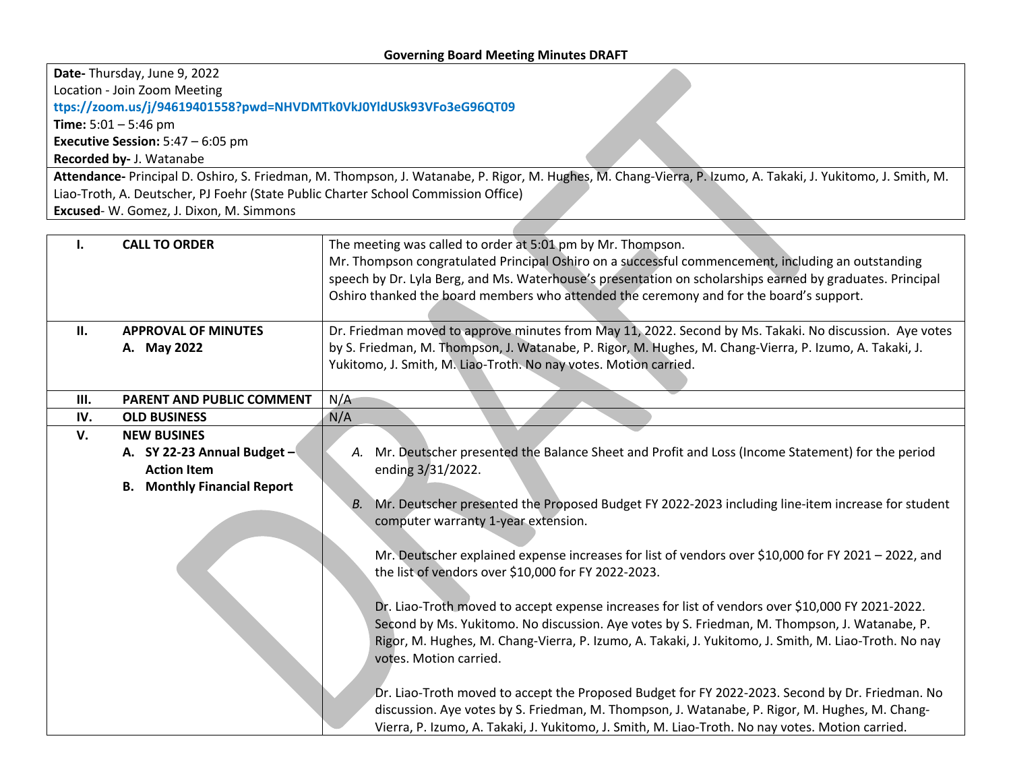**Date-** Thursday, June 9, 2022

Location - Join Zoom Meeting

**ttps://zoom.us/j/94619401558?pwd=NHVDMTk0VkJ0YldUSk93VFo3eG96QT09**

**Time:** 5:01 – 5:46 pm

**Executive Session:** 5:47 – 6:05 pm

**Recorded by-** J. Watanabe

**Attendance-** Principal D. Oshiro, S. Friedman, M. Thompson, J. Watanabe, P. Rigor, M. Hughes, M. Chang-Vierra, P. Izumo, A. Takaki, J. Yukitomo, J. Smith, M. Liao-Troth, A. Deutscher, PJ Foehr (State Public Charter School Commission Office) **Excused**- W. Gomez, J. Dixon, M. Simmons

| П.  | <b>CALL TO ORDER</b><br><b>APPROVAL OF MINUTES</b> | The meeting was called to order at 5:01 pm by Mr. Thompson.<br>Mr. Thompson congratulated Principal Oshiro on a successful commencement, including an outstanding<br>speech by Dr. Lyla Berg, and Ms. Waterhouse's presentation on scholarships earned by graduates. Principal<br>Oshiro thanked the board members who attended the ceremony and for the board's support.<br>Dr. Friedman moved to approve minutes from May 11, 2022. Second by Ms. Takaki. No discussion. Aye votes |
|-----|----------------------------------------------------|--------------------------------------------------------------------------------------------------------------------------------------------------------------------------------------------------------------------------------------------------------------------------------------------------------------------------------------------------------------------------------------------------------------------------------------------------------------------------------------|
|     | A. May 2022                                        | by S. Friedman, M. Thompson, J. Watanabe, P. Rigor, M. Hughes, M. Chang-Vierra, P. Izumo, A. Takaki, J.                                                                                                                                                                                                                                                                                                                                                                              |
|     |                                                    | Yukitomo, J. Smith, M. Liao-Troth. No nay votes. Motion carried.                                                                                                                                                                                                                                                                                                                                                                                                                     |
|     |                                                    |                                                                                                                                                                                                                                                                                                                                                                                                                                                                                      |
| Ш.  | <b>PARENT AND PUBLIC COMMENT</b>                   | N/A                                                                                                                                                                                                                                                                                                                                                                                                                                                                                  |
| IV. | <b>OLD BUSINESS</b>                                | N/A                                                                                                                                                                                                                                                                                                                                                                                                                                                                                  |
| V.  | <b>NEW BUSINES</b>                                 |                                                                                                                                                                                                                                                                                                                                                                                                                                                                                      |
|     | A. SY 22-23 Annual Budget -                        | Mr. Deutscher presented the Balance Sheet and Profit and Loss (Income Statement) for the period                                                                                                                                                                                                                                                                                                                                                                                      |
|     | <b>Action Item</b>                                 | ending 3/31/2022.                                                                                                                                                                                                                                                                                                                                                                                                                                                                    |
|     | <b>B.</b> Monthly Financial Report                 |                                                                                                                                                                                                                                                                                                                                                                                                                                                                                      |
|     |                                                    | Mr. Deutscher presented the Proposed Budget FY 2022-2023 including line-item increase for student<br>В.<br>computer warranty 1-year extension.                                                                                                                                                                                                                                                                                                                                       |
|     |                                                    | Mr. Deutscher explained expense increases for list of vendors over \$10,000 for FY 2021 - 2022, and                                                                                                                                                                                                                                                                                                                                                                                  |
|     |                                                    | the list of vendors over \$10,000 for FY 2022-2023.                                                                                                                                                                                                                                                                                                                                                                                                                                  |
|     |                                                    | Dr. Liao-Troth moved to accept expense increases for list of vendors over \$10,000 FY 2021-2022.                                                                                                                                                                                                                                                                                                                                                                                     |
|     |                                                    | Second by Ms. Yukitomo. No discussion. Aye votes by S. Friedman, M. Thompson, J. Watanabe, P.                                                                                                                                                                                                                                                                                                                                                                                        |
|     |                                                    | Rigor, M. Hughes, M. Chang-Vierra, P. Izumo, A. Takaki, J. Yukitomo, J. Smith, M. Liao-Troth. No nay<br>votes. Motion carried.                                                                                                                                                                                                                                                                                                                                                       |
|     |                                                    | Dr. Liao-Troth moved to accept the Proposed Budget for FY 2022-2023. Second by Dr. Friedman. No                                                                                                                                                                                                                                                                                                                                                                                      |
|     |                                                    | discussion. Aye votes by S. Friedman, M. Thompson, J. Watanabe, P. Rigor, M. Hughes, M. Chang-                                                                                                                                                                                                                                                                                                                                                                                       |
|     |                                                    | Vierra, P. Izumo, A. Takaki, J. Yukitomo, J. Smith, M. Liao-Troth. No nay votes. Motion carried.                                                                                                                                                                                                                                                                                                                                                                                     |